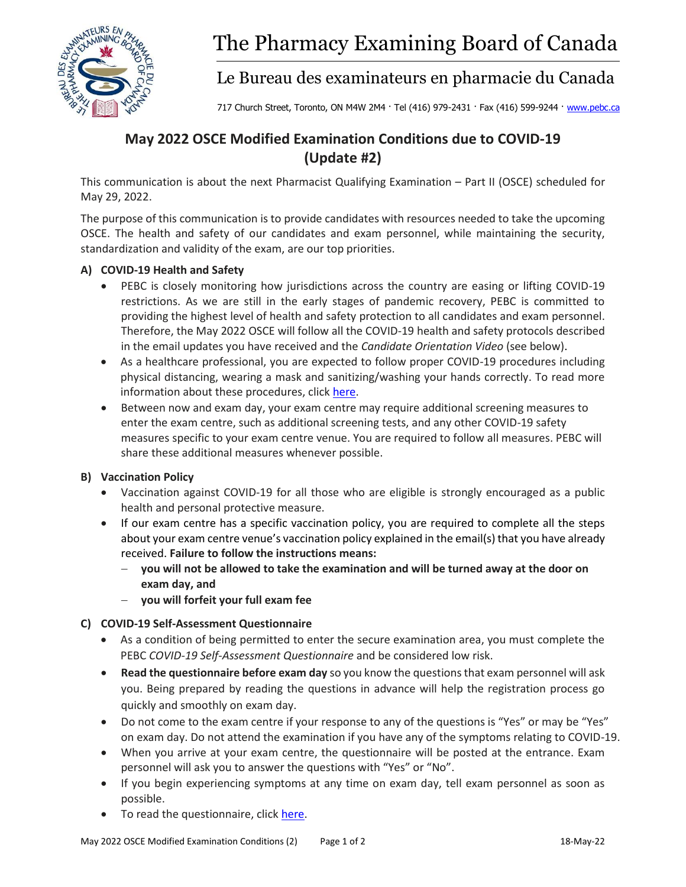

# The Pharmacy Examining Board of Canada

Le Bureau des examinateurs en pharmacie du Canada

717 Church Street, Toronto, ON M4W 2M4 · Tel (416) 979-2431 · Fax (416) 599-9244 · [www.pebc.ca](http://www.pebc.ca/)

# **May 2022 OSCE Modified Examination Conditions due to COVID-19 (Update #2)**

This communication is about the next Pharmacist Qualifying Examination – Part II (OSCE) scheduled for May 29, 2022.

The purpose of this communication is to provide candidates with resources needed to take the upcoming OSCE. The health and safety of our candidates and exam personnel, while maintaining the security, standardization and validity of the exam, are our top priorities.

# **A) COVID-19 Health and Safety**

- PEBC is closely monitoring how jurisdictions across the country are easing or lifting COVID-19 restrictions. As we are still in the early stages of pandemic recovery, PEBC is committed to providing the highest level of health and safety protection to all candidates and exam personnel. Therefore, the May 2022 OSCE will follow all the COVID-19 health and safety protocols described in the email updates you have received and the *Candidate Orientation Video* (see below).
- As a healthcare professional, you are expected to follow proper COVID-19 procedures including physical distancing, wearing a mask and sanitizing/washing your hands correctly. To read more information about these procedures, click [here.](https://pebc.ca/wp-content/uploads/pdfs/Common/EN/COVID-19_Health_and_Safety_Procedures.pdf)
- Between now and exam day, your exam centre may require additional screening measures to enter the exam centre, such as additional screening tests, and any other COVID-19 safety measures specific to your exam centre venue. You are required to follow all measures. PEBC will share these additional measures whenever possible.

#### **B) Vaccination Policy**

- Vaccination against COVID-19 for all those who are eligible is strongly encouraged as a public health and personal protective measure.
- If our exam centre has a specific vaccination policy, you are required to complete all the steps about your exam centre venue's vaccination policy explained in the email(s) that you have already received. **Failure to follow the instructions means:**
	- − **you will not be allowed to take the examination and will be turned away at the door on exam day, and**
	- − **you will forfeit your full exam fee**

#### **C) COVID-19 Self-Assessment Questionnaire**

- As a condition of being permitted to enter the secure examination area, you must complete the PEBC *COVID-19 Self-Assessment Questionnaire* and be considered low risk.
- **Read the questionnaire before exam day** so you know the questions that exam personnel will ask you. Being prepared by reading the questions in advance will help the registration process go quickly and smoothly on exam day.
- Do not come to the exam centre if your response to any of the questions is "Yes" or may be "Yes" on exam day. Do not attend the examination if you have any of the symptoms relating to COVID-19.
- When you arrive at your exam centre, the questionnaire will be posted at the entrance. Exam personnel will ask you to answer the questions with "Yes" or "No".
- If you begin experiencing symptoms at any time on exam day, tell exam personnel as soon as possible.
- To read the questionnaire, click [here.](https://pebc.ca/wp-content/uploads/pdfs/Common/EN/COVID-19_Self-Assessment_Questionnaire.pdf)